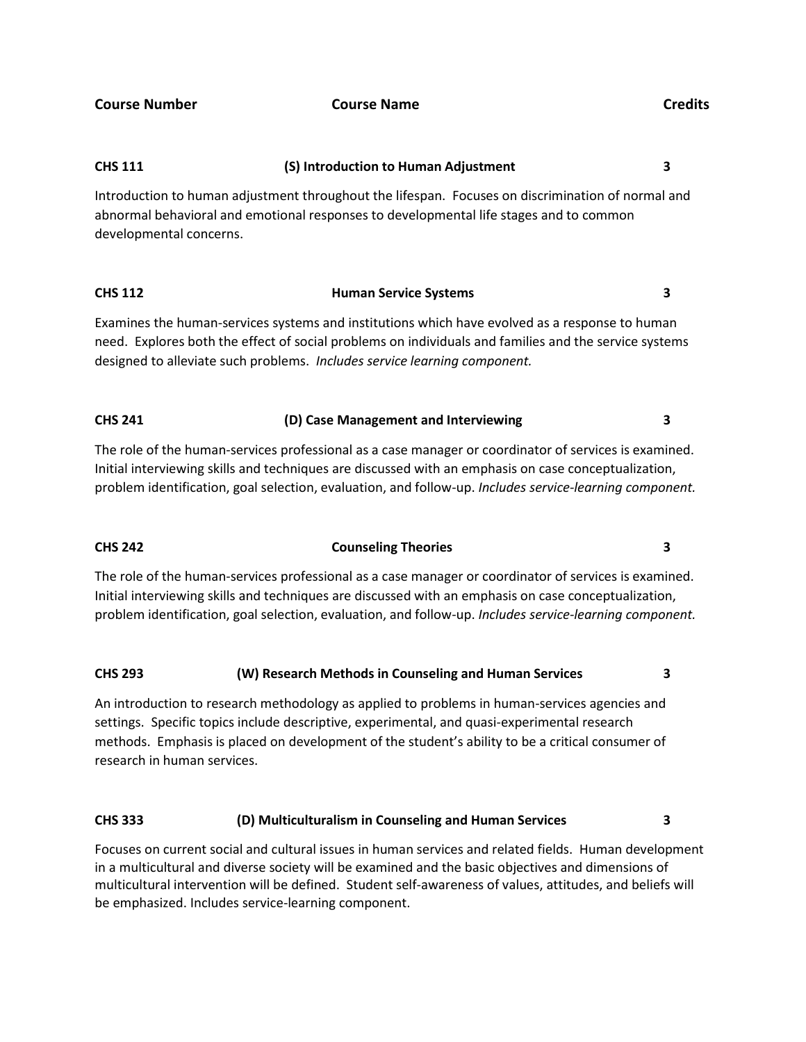# **CHS 111 (S) Introduction to Human Adjustment 3**

Introduction to human adjustment throughout the lifespan. Focuses on discrimination of normal and abnormal behavioral and emotional responses to developmental life stages and to common developmental concerns.

# **CHS 112 Human Service Systems 3**

Examines the human-services systems and institutions which have evolved as a response to human need. Explores both the effect of social problems on individuals and families and the service systems designed to alleviate such problems. *Includes service learning component.*

### **CHS 241 (D) Case Management and Interviewing 3**

The role of the human-services professional as a case manager or coordinator of services is examined. Initial interviewing skills and techniques are discussed with an emphasis on case conceptualization, problem identification, goal selection, evaluation, and follow-up. *Includes service-learning component.*

### **CHS 242 Counseling Theories 3**

The role of the human-services professional as a case manager or coordinator of services is examined. Initial interviewing skills and techniques are discussed with an emphasis on case conceptualization, problem identification, goal selection, evaluation, and follow-up. *Includes service-learning component.*

### **CHS 293 (W) Research Methods in Counseling and Human Services 3**

An introduction to research methodology as applied to problems in human-services agencies and settings. Specific topics include descriptive, experimental, and quasi-experimental research methods. Emphasis is placed on development of the student's ability to be a critical consumer of research in human services.

### **CHS 333 (D) Multiculturalism in Counseling and Human Services 3**

Focuses on current social and cultural issues in human services and related fields. Human development in a multicultural and diverse society will be examined and the basic objectives and dimensions of multicultural intervention will be defined. Student self-awareness of values, attitudes, and beliefs will be emphasized. Includes service-learning component.